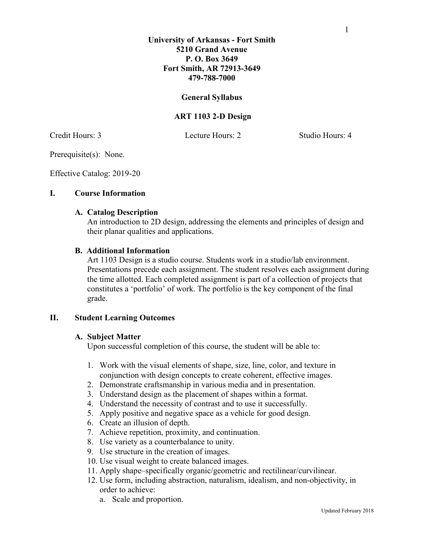## **University of Arkansas - Fort Smith 5210 Grand Avenue P. O. Box 3649 Fort Smith, AR 72913-3649 479-788-7000**

# **General Syllabus**

# **ART 1103 2-D Design**

Credit Hours: 3 Lecture Hours: 2 Studio Hours: 4

Prerequisite(s): None.

Effective Catalog: 2019-20

### **I. Course Information**

#### **A. Catalog Description**

An introduction to 2D design, addressing the elements and principles of design and their planar qualities and applications.

#### **B. Additional Information**

Art 1103 Design is a studio course. Students work in a studio/lab environment. Presentations precede each assignment. The student resolves each assignment during the time allotted. Each completed assignment is part of a collection of projects that constitutes a 'portfolio' of work. The portfolio is the key component of the final grade.

#### **II. Student Learning Outcomes**

#### **A. Subject Matter**

Upon successful completion of this course, the student will be able to:

- 1. Work with the visual elements of shape, size, line, color, and texture in conjunction with design concepts to create coherent, effective images.
- 2. Demonstrate craftsmanship in various media and in presentation.
- 3. Understand design as the placement of shapes within a format.
- 4. Understand the necessity of contrast and to use it successfully.
- 5. Apply positive and negative space as a vehicle for good design.
- 6. Create an illusion of depth.
- 7. Achieve repetition, proximity, and continuation.
- 8. Use variety as a counterbalance to unity.
- 9. Use structure in the creation of images.
- 10. Use visual weight to create balanced images.
- 11. Apply shape–specifically organic/geometric and rectilinear/curvilinear.
- 12. Use form, including abstraction, naturalism, idealism, and non-objectivity, in order to achieve:
	- a. Scale and proportion.